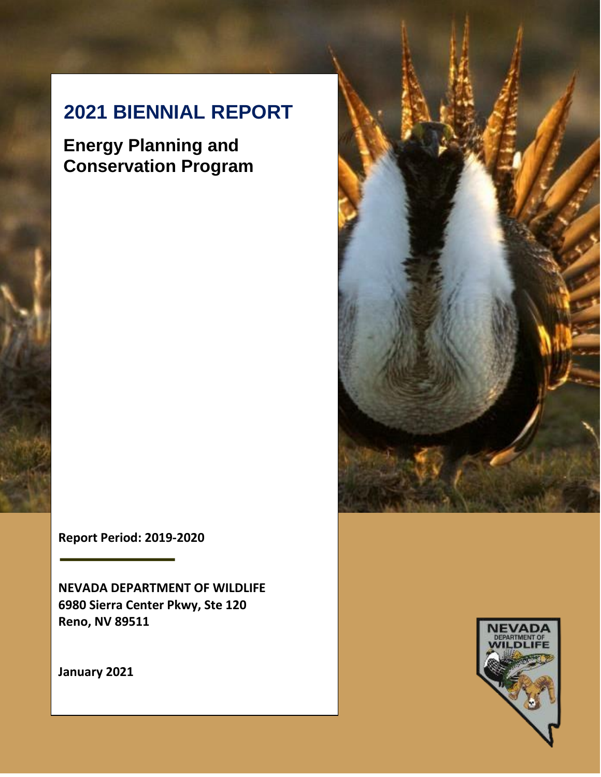# **2021 BIENNIAL REPORT**

**Energy Planning and Conservation Program**

**Report Period: 2019-2020**

**NEVADA DEPARTMENT OF WILDLIFE 6980 Sierra Center Pkwy, Ste 120 Reno, NV 89511**

**January 2021**



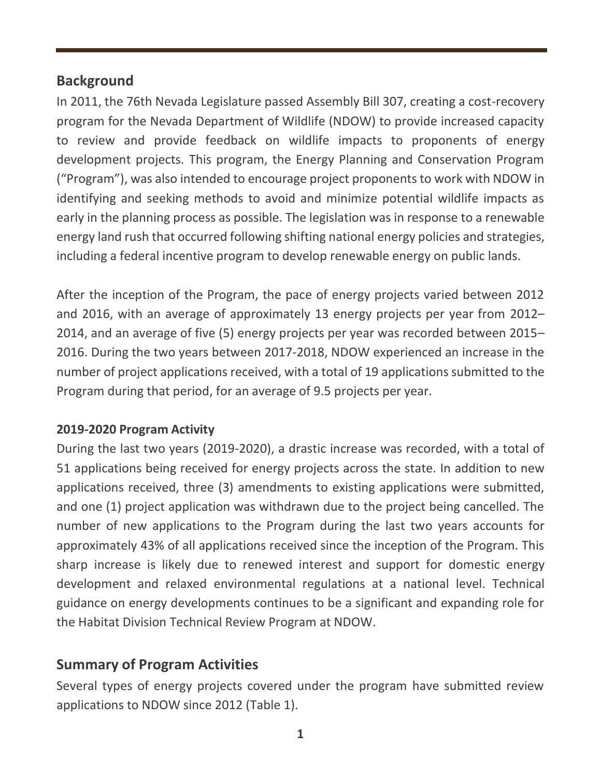## **Background**

In 2011, the 76th Nevada Legislature passed Assembly Bill 307, creating a cost-recovery program for the Nevada Department of Wildlife (NDOW) to provide increased capacity to review and provide feedback on wildlife impacts to proponents of energy development projects. This program, the Energy Planning and Conservation Program ("Program"), was also intended to encourage project proponentsto work with NDOW in identifying and seeking methods to avoid and minimize potential wildlife impacts as early in the planning process as possible. The legislation was in response to a renewable energy land rush that occurred following shifting national energy policies and strategies, including a federal incentive program to develop renewable energy on public lands.

After the inception of the Program, the pace of energy projects varied between 2012 and 2016, with an average of approximately 13 energy projects per year from 2012– 2014, and an average of five (5) energy projects per year was recorded between 2015– 2016. During the two years between 2017-2018, NDOW experienced an increase in the number of project applications received, with a total of 19 applications submitted to the Program during that period, for an average of 9.5 projects per year.

#### **2019-2020 Program Activity**

During the last two years (2019-2020), a drastic increase was recorded, with a total of 51 applications being received for energy projects across the state. In addition to new applications received, three (3) amendments to existing applications were submitted, and one (1) project application was withdrawn due to the project being cancelled. The number of new applications to the Program during the last two years accounts for approximately 43% of all applications received since the inception of the Program. This sharp increase is likely due to renewed interest and support for domestic energy development and relaxed environmental regulations at a national level. Technical guidance on energy developments continues to be a significant and expanding role for the Habitat Division Technical Review Program at NDOW.

## **Summary of Program Activities**

Several types of energy projects covered under the program have submitted review applications to NDOW since 2012 (Table 1).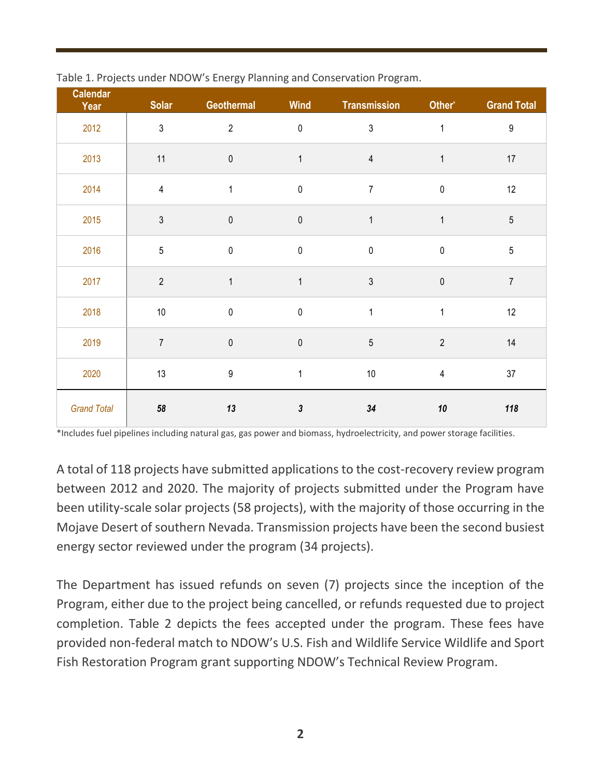| <b>Calendar</b><br>Year | <b>Solar</b>   | Geothermal       | <b>Wind</b>                 | <b>Transmission</b> | Other*         | <b>Grand Total</b> |
|-------------------------|----------------|------------------|-----------------------------|---------------------|----------------|--------------------|
| 2012                    | $\sqrt{3}$     | $\overline{2}$   | $\pmb{0}$                   | $\mathfrak{S}$      | $\mathbf{1}$   | $\boldsymbol{9}$   |
| 2013                    | 11             | $\pmb{0}$        | $\mathbf{1}$                | $\overline{4}$      | 1              | 17                 |
| 2014                    | $\sqrt{4}$     | $\mathbf{1}$     | $\pmb{0}$                   | $\boldsymbol{7}$    | $\pmb{0}$      | 12                 |
| 2015                    | $\mathfrak{3}$ | $\pmb{0}$        | $\pmb{0}$                   | $\mathbf{1}$        | $\mathbf{1}$   | $\sqrt{5}$         |
| 2016                    | $\mathbf 5$    | $\pmb{0}$        | $\pmb{0}$                   | $\pmb{0}$           | $\pmb{0}$      | $\sqrt{5}$         |
| 2017                    | $\overline{2}$ | $\mathbf{1}$     | $\mathbf{1}$                | $\mathfrak{Z}$      | $\pmb{0}$      | $\overline{7}$     |
| 2018                    | $10$           | $\pmb{0}$        | $\pmb{0}$                   | $\mathbf{1}$        | $\mathbf{1}$   | 12                 |
| 2019                    | $\overline{7}$ | $\pmb{0}$        | $\pmb{0}$                   | $\overline{5}$      | $\overline{2}$ | 14                 |
| 2020                    | 13             | $\boldsymbol{9}$ | 1                           | $10\,$              | $\overline{4}$ |                    |
| <b>Grand Total</b>      | 58             | 13               | $\boldsymbol{\mathfrak{z}}$ | 34                  | ${\bf 10}$     | 118                |

|  |  |  | Table 1. Projects under NDOW's Energy Planning and Conservation Program. |  |
|--|--|--|--------------------------------------------------------------------------|--|
|  |  |  |                                                                          |  |

\*Includes fuel pipelines including natural gas, gas power and biomass, hydroelectricity, and power storage facilities.

A total of 118 projects have submitted applications to the cost-recovery review program between 2012 and 2020. The majority of projects submitted under the Program have been utility-scale solar projects (58 projects), with the majority of those occurring in the Mojave Desert of southern Nevada. Transmission projects have been the second busiest energy sector reviewed under the program (34 projects).

The Department has issued refunds on seven (7) projects since the inception of the Program, either due to the project being cancelled, or refunds requested due to project completion. Table 2 depicts the fees accepted under the program. These fees have provided non-federal match to NDOW's U.S. Fish and Wildlife Service Wildlife and Sport Fish Restoration Program grant supporting NDOW's Technical Review Program.